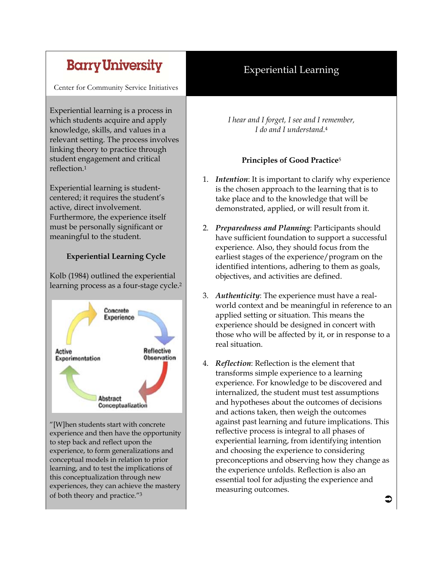# **Barry University**

Center for Community Service Initiatives

Experiential learning is a process in which students acquire and apply knowledge, skills, and values in a relevant setting. The process involves linking theory to practice through student engagement and critical reflection.1

Experiential learning is studentcentered; it requires the student's active, direct involvement. Furthermore, the experience itself must be personally significant or meaningful to the student.

## **Experiential Learning Cycle**

Kolb (1984) outlined the experiential learning process as a four-stage cycle.2



"[W]hen students start with concrete experience and then have the opportunity to step back and reflect upon the experience, to form generalizations and conceptual models in relation to prior learning, and to test the implications of this conceptualization through new experiences, they can achieve the mastery of both theory and practice."3

# Experiential Learning

*I hear and I forget, I see and I remember, I do and I understand.*<sup>4</sup>

## **Principles of Good Practice**<sup>5</sup>

- 1. *Intention*: It is important to clarify why experience is the chosen approach to the learning that is to take place and to the knowledge that will be demonstrated, applied, or will result from it.
- 2. *Preparedness and Planning*: Participants should have sufficient foundation to support a successful experience. Also, they should focus from the earliest stages of the experience/program on the identified intentions, adhering to them as goals, objectives, and activities are defined.
- 3. *Authenticity*: The experience must have a realworld context and be meaningful in reference to an applied setting or situation. This means the experience should be designed in concert with those who will be affected by it, or in response to a real situation.
- 4. *Reflection*: Reflection is the element that transforms simple experience to a learning experience. For knowledge to be discovered and internalized, the student must test assumptions and hypotheses about the outcomes of decisions and actions taken, then weigh the outcomes against past learning and future implications. This reflective process is integral to all phases of experiential learning, from identifying intention and choosing the experience to considering preconceptions and observing how they change as the experience unfolds. Reflection is also an essential tool for adjusting the experience and measuring outcomes.